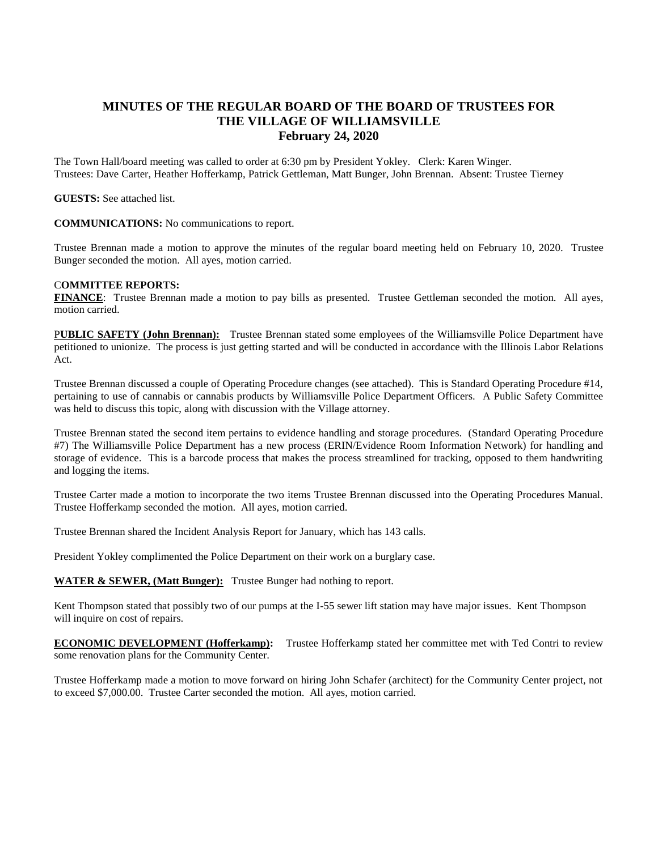## **MINUTES OF THE REGULAR BOARD OF THE BOARD OF TRUSTEES FOR THE VILLAGE OF WILLIAMSVILLE February 24, 2020**

The Town Hall/board meeting was called to order at 6:30 pm by President Yokley. Clerk: Karen Winger. Trustees: Dave Carter, Heather Hofferkamp, Patrick Gettleman, Matt Bunger, John Brennan. Absent: Trustee Tierney

**GUESTS:** See attached list.

**COMMUNICATIONS:** No communications to report.

Trustee Brennan made a motion to approve the minutes of the regular board meeting held on February 10, 2020. Trustee Bunger seconded the motion. All ayes, motion carried.

## C**OMMITTEE REPORTS:**

**FINANCE**: Trustee Brennan made a motion to pay bills as presented. Trustee Gettleman seconded the motion. All ayes, motion carried.

P**UBLIC SAFETY (John Brennan):** Trustee Brennan stated some employees of the Williamsville Police Department have petitioned to unionize. The process is just getting started and will be conducted in accordance with the Illinois Labor Relations Act.

Trustee Brennan discussed a couple of Operating Procedure changes (see attached). This is Standard Operating Procedure #14, pertaining to use of cannabis or cannabis products by Williamsville Police Department Officers. A Public Safety Committee was held to discuss this topic, along with discussion with the Village attorney.

Trustee Brennan stated the second item pertains to evidence handling and storage procedures. (Standard Operating Procedure #7) The Williamsville Police Department has a new process (ERIN/Evidence Room Information Network) for handling and storage of evidence. This is a barcode process that makes the process streamlined for tracking, opposed to them handwriting and logging the items.

Trustee Carter made a motion to incorporate the two items Trustee Brennan discussed into the Operating Procedures Manual. Trustee Hofferkamp seconded the motion. All ayes, motion carried.

Trustee Brennan shared the Incident Analysis Report for January, which has 143 calls.

President Yokley complimented the Police Department on their work on a burglary case.

**WATER & SEWER, (Matt Bunger):** Trustee Bunger had nothing to report.

Kent Thompson stated that possibly two of our pumps at the I-55 sewer lift station may have major issues. Kent Thompson will inquire on cost of repairs.

**ECONOMIC DEVELOPMENT (Hofferkamp):** Trustee Hofferkamp stated her committee met with Ted Contri to review some renovation plans for the Community Center.

Trustee Hofferkamp made a motion to move forward on hiring John Schafer (architect) for the Community Center project, not to exceed \$7,000.00. Trustee Carter seconded the motion. All ayes, motion carried.